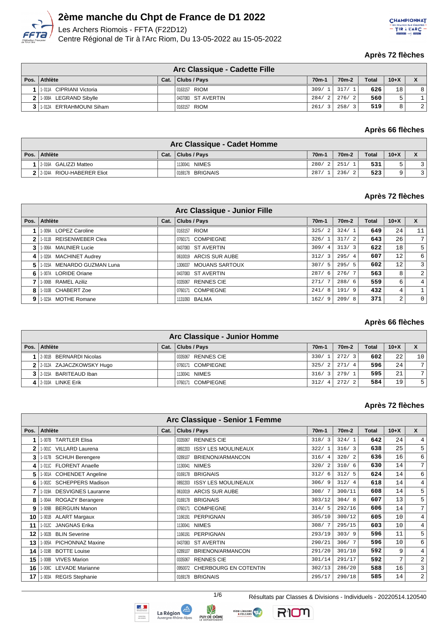

Les Archers Riomois - FFTA (F22D12) Centre Régional de Tir à l'Arc Riom, Du 13-05-2022 au 15-05-2022



#### **Après 72 flèches**

| Arc Classique - Cadette Fille |      |                    |                    |                    |              |        |   |  |  |
|-------------------------------|------|--------------------|--------------------|--------------------|--------------|--------|---|--|--|
| Pos. Athlète                  | Cat. | Clubs / Pays       | 70 <sub>m</sub> -1 | 70 <sub>m</sub> -2 | <b>Total</b> | $10+X$ |   |  |  |
| 1-011A CIPRIANI Victoria      |      | 0163157 RIOM       | 309/               | 317/1              | 626          | 18     | 8 |  |  |
| 2 1-008A LEGRAND Sibylle      |      | 0437083 ST AVERTIN | 284/               | 276/2              | 560          | Б.     |   |  |  |
| 3 1 1 012A ER'RAHMOUNI Siham  |      | 0163157 RIOM       | 261                | 258/3              | 519          | 8      | 2 |  |  |

#### **Après 66 flèches**

| Arc Classique - Cadet Homme |      |                  |        |                    |              |        |  |  |  |
|-----------------------------|------|------------------|--------|--------------------|--------------|--------|--|--|--|
| Pos. Athlète                | Cat. | Clubs / Pays     | $70m-$ | 70 <sub>m</sub> -2 | <b>Total</b> | $10+X$ |  |  |  |
| 2-016A GALIZZI Matteo       |      | 1130041 NIMES    | 280/2  | 251/               | 531          |        |  |  |  |
| 2 2-024A RIOU-HABERER Eliot |      | 0169178 BRIGNAIS | 287/   | 236/               | 523          |        |  |  |  |

## **Après 72 flèches**

|    |                            |      | Arc Classique - Junior Fille |                        |                    |              |                 |                |
|----|----------------------------|------|------------------------------|------------------------|--------------------|--------------|-----------------|----------------|
|    | Pos. Athlète               | Cat. | Clubs / Pays                 | 70 <sub>m</sub> -1     | 70 <sub>m</sub> -2 | <b>Total</b> | $10+X$          | $\mathbf{x}$   |
|    | 1-009A LOPEZ Caroline      |      | 0163157 RIOM                 | 325/<br>$\overline{2}$ | 324/1              | 649          | 24              | 11             |
|    | 1-011B REISENWEBER Clea    |      | 0760171 COMPIEGNE            | 326/1                  | 317/2              | 643          | 26              | 7              |
|    | 1-006A MAUNIER Lucie       |      | 0437083 ST AVERTIN           | 309/4                  | 313/3              | 622          | 18              | 5              |
|    | 1-020A MACHINET Audrey     |      | 0610019 ARCIS SUR AUBE       | 312/3                  | 295/4              | 607          | 12              | 6              |
|    | 1-015A MENARDO GUZMAN Luna |      | 1306037 MOUANS SARTOUX       | 307/5                  | 295/5              | 602          | 12 <sub>1</sub> | 3              |
| 61 | 1-007A LORIDE Oriane       |      | 0437083 ST AVERTIN           | 287/6                  | 276/7              | 563          | 8               | $\overline{2}$ |
|    | 1-006B RAMEL Aziliz        |      | 0335067 RENNES CIE           | 271/                   | 288/6              | 559          | 6               | 4              |
| 81 | 1-010B CHABERT Zoe         |      | COMPIEGNE<br>0760171         | 241/8                  | 191/9              | 432          | 4               |                |
| 91 | 1-023A MOTHE Romane        |      | 1131093 BALMA                | 162/9                  | 209/8              | 371          | 2               | 0              |

## **Après 66 flèches**

| Arc Classique - Junior Homme |      |                    |                                 |                        |              |        |               |  |  |  |
|------------------------------|------|--------------------|---------------------------------|------------------------|--------------|--------|---------------|--|--|--|
| Pos. Athlète                 | Cat. | Clubs / Pays       | $70m-$                          | 70 <sub>m</sub> -2     | <b>Total</b> | $10+X$ | X             |  |  |  |
| 2001B BERNARDI Nicolas       |      | 0335067 RENNES CIE | 330/<br>$\overline{1}$          | 272/3                  | 602          | 22     | 10            |  |  |  |
| 2 2-012A ZAJACZKOWSKY Hugo   |      | 0760171 COMPIEGNE  | 325/<br>2                       | 271/4                  | 596          | 24     | $\mathbf{r}$  |  |  |  |
| 3 2-015A BARITEAUD Iban      |      | 1130041 NIMES      | 316/<br>$\overline{\mathbf{3}}$ | 279/1                  | 595          | 21     | $\mathcal{L}$ |  |  |  |
| 2-010A LINKE Erik            |      | 0760171 COMPIEGNE  | 312/<br>-4                      | 272/<br>$\overline{2}$ | 584          | 19     | 5             |  |  |  |

#### **Après 72 flèches**

|              | Arc Classique - Senior 1 Femme     |      |                                       |                    |                    |              |        |                         |  |  |  |
|--------------|------------------------------------|------|---------------------------------------|--------------------|--------------------|--------------|--------|-------------------------|--|--|--|
| Pos.         | Athlète                            | Cat. | Clubs / Pays                          | 70 <sub>m</sub> -1 | 70 <sub>m</sub> -2 | <b>Total</b> | $10+X$ | $\mathsf{x}$            |  |  |  |
|              | 1-007B TARTLER Elisa               |      | <b>RENNES CIE</b><br>0335067          | 318/3              | 324/1              | 642          | 24     | 4 <sup>1</sup>          |  |  |  |
| $\mathbf{2}$ | 1-001C VILLARD Laurena             |      | <b>ISSY LES MOULINEAUX</b><br>0892203 | 322/1              | 316/3              | 638          | 25     | 5 <sup>1</sup>          |  |  |  |
| 3            | 1-017B SCHUH Berengere             |      | BRIENON/ARMANCON<br>0289107           | 316/4              | 320/2              | 636          | 16     | $6 \mid$                |  |  |  |
| 4            | 1-011C FLORENT Anaelle             |      | <b>NIMES</b><br>1130041               | 320/2              | 310/6              | 630          | 14     | 7 <sup>1</sup>          |  |  |  |
| 5            | <b>COHENDET Angeline</b><br>1-001A |      | <b>BRIGNAIS</b><br>0169178            | 312/6              | 312/5              | 624          | 14     | $6 \overline{6}$        |  |  |  |
| 6            | 1-002C SCHEPPERS Madison           |      | <b>ISSY LES MOULINEAUX</b><br>0892203 | 306/9              | 312/4              | 618          | 14     | $4^{\circ}$             |  |  |  |
|              | 1-019A DESVIGNES Lauranne          |      | 0610019 ARCIS SUR AUBE                | 308/7              | 300/11             | 608          | 14     | 5 <sup>1</sup>          |  |  |  |
| 8            | 1-004A ROGAZY Berangere            |      | <b>BRIGNAIS</b><br>0169178            | 303/12             | 304/8              | 607          | 13     | 5 <sup>1</sup>          |  |  |  |
| 9            | 1-009B BERGUIN Manon               |      | <b>COMPIEGNE</b><br>0760171           | 314/5              | 292/16             | 606          | 14     | 7 <sup>1</sup>          |  |  |  |
| 10           | 1-001B ALART Margaux               |      | PERPIGNAN<br>1166191                  | 305/10             | 300/12             | 605          | 10     | $4\overline{ }$         |  |  |  |
| 11           | 1-012C JANGNAS Erika               |      | <b>NIMES</b><br>1130041               | 308/7              | 295/15             | 603          | 10     | $4\overline{ }$         |  |  |  |
| 12           | 1-002B BLIN Severine               |      | PERPIGNAN<br>1166191                  | 293/19             | 303/9              | 596          | 11     | 5 <sup>1</sup>          |  |  |  |
| 13           | 1-005A PICHONNAZ Maxine            |      | ST AVERTIN<br>0437083                 | 290/21             | 306/7              | 596          | 10     | 6                       |  |  |  |
| 14           | 1-019B BOTTE Louise                |      | BRIENON/ARMANCON<br>0289107           | 291/20             | 301/10             | 592          | 9      | $4\overline{ }$         |  |  |  |
| 15           | 1-008B VIVES Marion                |      | <b>RENNES CIE</b><br>0335067          | 301/14             | 291/17             | 592          | 7      | $\overline{2}$          |  |  |  |
| 16           | 1-008C LEVADE Marianne             |      | 0950072 CHERBOURG EN COTENTIN         | 302/13             | 286/20             | 588          | 16     | $\overline{\mathbf{3}}$ |  |  |  |
| 17           | 1-003A REGIS Stephanie             |      | 0169178 BRIGNAIS                      | 295/17             | 290/18             | 585          | 14     | $\overline{2}$          |  |  |  |







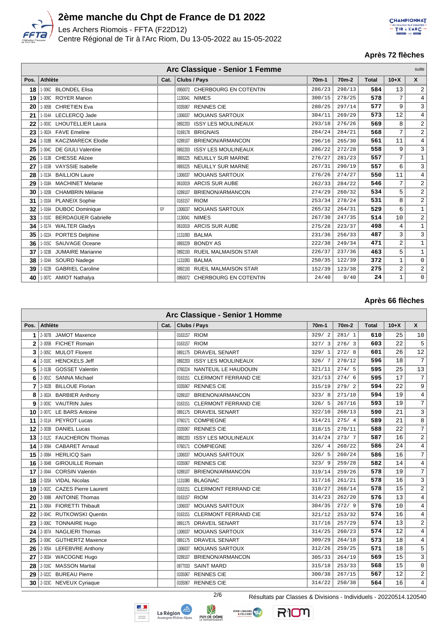

Les Archers Riomois - FFTA (F22D12) Centre Régional de Tir à l'Arc Riom, Du 13-05-2022 au 15-05-2022



## **Après 72 flèches**

| Arc Classique - Senior 1 Femme |                                       |                  |                                       |         |                    |              |              |                |
|--------------------------------|---------------------------------------|------------------|---------------------------------------|---------|--------------------|--------------|--------------|----------------|
| Pos.                           | <b>Athlète</b>                        | Cat.             | <b>Clubs / Pays</b>                   | $70m-1$ | 70 <sub>m</sub> -2 | <b>Total</b> | $10+X$       | $\mathsf{x}$   |
| 18                             | 1-006C BLONDEL Elisa                  |                  | 0950072 CHERBOURG EN COTENTIN         | 286/23  | 298/13             | 584          | 13           | $\sqrt{2}$     |
| 19                             | 1-009C ROYER Manon                    |                  | <b>NIMES</b><br>1130041               | 300/15  | 278/25             | 578          | 7            | $\overline{4}$ |
| 20                             | 1-005B CHRETIEN Eva                   |                  | <b>RENNES CIE</b><br>0335067          | 280/25  | 297/14             | 577          | 9            | 3              |
| 21                             | 1-014A LECLERCQ Jade                  |                  | <b>MOUANS SARTOUX</b><br>1306037      | 304/11  | 269/29             | 573          | 12           | $\overline{4}$ |
| 22                             | 1-003C LHOUTELLIER Laura              |                  | <b>ISSY LES MOULINEAUX</b><br>0892203 | 293/18  | 276/26             | 569          | 8            | $\sqrt{2}$     |
| 23                             | 1-002A FAVE Emeline                   |                  | 0169178 BRIGNAIS                      | 284/24  | 284/21             | 568          | 7            | $\overline{2}$ |
| 24                             | 1-018B KACZMARECK Elodie              |                  | BRIENON/ARMANCON<br>0289107           | 296/16  | 265/30             | 561          | 11           | $\,4$          |
| 25                             | 1-004C DE GIULI Valentine             |                  | <b>ISSY LES MOULINEAUX</b><br>0892203 | 286/22  | 272/28             | 558          | 9            | 3              |
| 26                             | 1-013B CHESSE Alizee                  |                  | <b>NEUILLY SUR MARNE</b><br>0893225   | 276/27  | 281/23             | 557          | 7            | $\mathbf{1}$   |
| 27                             | 1-015B VAYSSIE Isabelle               |                  | NEUILLY SUR MARNE<br>0893225          | 267/31  | 290/19             | 557          | 6            | 3              |
| 28                             | 1-013A BAILLION Laure                 |                  | <b>MOUANS SARTOUX</b><br>1306037      | 276/26  | 274/27             | 550          | 11           | 4              |
| 29                             | 1-018A MACHINET Melanie               |                  | 0610019 ARCIS SUR AUBE                | 262/33  | 284/22             | 546          | 7            | $\overline{2}$ |
| 30                             | 1-020B CHAMBRIN Mélanie               |                  | BRIENON/ARMANCON<br>0289107           | 274/29  | 260/32             | 534          | 5            | $\sqrt{2}$     |
| 31                             | 1-010A PLANEIX Sophie                 |                  | 0163157 RIOM                          | 253/34  | 278/24             | 531          | 8            | $\sqrt{2}$     |
| 32                             | 1-016A DUBOC Dominique                | S <sub>2</sub> F | <b>MOUANS SARTOUX</b><br>1306037      | 265/32  | 264/31             | 529          | 6            | $\mathbf{1}$   |
| 33                             | 1-010C BERDAGUER Gabrielle            |                  | <b>NIMES</b><br>1130041               | 267/30  | 247/35             | 514          | 10           | $\overline{2}$ |
| 34                             | 1-017A WALTER Gladys                  |                  | <b>ARCIS SUR AUBE</b><br>0610019      | 275/28  | 223/37             | 498          | 4            | $\mathbf 1$    |
| 35                             | 1-022A PORTES Delphine                |                  | <b>BALMA</b><br>1131093               | 231/36  | 256/33             | 487          | 3            | 3              |
| 36                             | 1-015C SAUVAGE Oceane                 |                  | <b>BONDY AS</b><br>0893229            | 222/38  | 249/34             | 471          | 2            | $\mathbf{1}$   |
| 37                             | <b>JUMAIRE Marianne</b><br>$1 - 023B$ |                  | 0892193 RUEIL MALMAISON STAR          | 226/37  | 237/36             | 463          | 5            | $\mathbf{1}$   |
| 38                             | 1-024A SOURD Nadege                   |                  | <b>BALMA</b><br>1131093               | 250/35  | 122/39             | 372          | $\mathbf{1}$ | $\mathbf 0$    |
| 39                             | <b>GABRIEL Caroline</b><br>1-022B     |                  | 0892193 RUEIL MALMAISON STAR          | 152/39  | 123/38             | 275          | 2            | $\overline{2}$ |
| 40                             | 1-007C AMIOT Nathalya                 |                  | 0950072 CHERBOURG EN COTENTIN         | 24/40   | 0/40               | 24           | $\mathbf{1}$ | 0              |

## **Après 66 flèches**

| Arc Classique - Senior 1 Homme |                                    |      |                                        |                    |                    |       |        |                     |  |  |
|--------------------------------|------------------------------------|------|----------------------------------------|--------------------|--------------------|-------|--------|---------------------|--|--|
| Pos.                           | <b>Athlète</b>                     | Cat. | <b>Clubs / Pays</b>                    | 70 <sub>m</sub> -1 | 70 <sub>m</sub> -2 | Total | $10+X$ | X                   |  |  |
| 1                              | 2-007B JAMOT Maxence               |      | 0163157 RIOM                           | 329/2              | 281/1              | 610   | 25     | 10                  |  |  |
| $\mathbf{2}$                   | 2-005B<br><b>FICHET Romain</b>     |      | <b>RIOM</b><br>0163157                 | 327/3              | 276/3              | 603   | 22     | 5                   |  |  |
| 3                              | 2-005C MULOT Florent               |      | 0891175 DRAVEIL SENART                 | 329/1              | 272/8              | 601   | 26     | 12                  |  |  |
| 4                              | 2-010C HENCKELS Jeff               |      | <b>ISSY LES MOULINEAUX</b><br>0892203  | 326/7              | 270/12             | 596   | 18     | $\overline{7}$      |  |  |
| 5                              | <b>GOSSET Valentin</b><br>2-013B   |      | 0760224 NANTEUIL LE HAUDOUIN           | 321/11             | 274/5              | 595   | 25     | 13                  |  |  |
| 6                              | 2-001C SANNA Michael               |      | <b>CLERMONT FERRAND CIE</b><br>0163151 | 321/13             | 274/6              | 595   | 17     | $\overline{7}$      |  |  |
| 7                              | <b>BILLOUE Florian</b><br>2-002B   |      | <b>RENNES CIE</b><br>0335067           | 315/19             | 279/2              | 594   | 22     | 9                   |  |  |
| 8                              | 2-002A BARBIER Anthony             |      | BRIENON/ARMANCON<br>0289107            | 323/8              | 271/10             | 594   | 19     | 4                   |  |  |
| 9                              | 2-003C VAUTRIN Jules               |      | <b>CLERMONT FERRAND CIE</b><br>0163151 | 326/5              | 267/16             | 593   | 19     | $\overline{7}$      |  |  |
| 10                             | 2-007C LE BARS Antoine             |      | 0891175 DRAVEIL SENART                 | 322/10             | 268/13             | 590   | 21     | 3                   |  |  |
| 11                             | 2-011A PEYROT Lucas                |      | <b>COMPIEGNE</b><br>0760171            | 314/21             | 275/4              | 589   | 21     | 8                   |  |  |
| 12                             | 2-003B<br><b>DANIEL Lucas</b>      |      | <b>RENNES CIE</b><br>0335067           | 318/15             | 270/11             | 588   | 22     | $\overline{7}$      |  |  |
| 13                             | 2-012C FAUCHERON Thomas            |      | <b>ISSY LES MOULINEAUX</b><br>0892203  | 314/24             | 273/7              | 587   | 16     | $\sqrt{2}$          |  |  |
| 14                             | 2-009A CABARET Arnaud              |      | <b>COMPIEGNE</b><br>0760171            | 326/4              | 260/22             | 586   | 24     | $\overline{4}$      |  |  |
| 15                             | 2-008A HERLICQ Sam                 |      | <b>MOUANS SARTOUX</b><br>1306037       | 326/5              | 260/24             | 586   | 16     | 7                   |  |  |
| 16                             | <b>GIROUILLE Romain</b><br>2-004B  |      | <b>RENNES CIE</b><br>0335067           | 323/9              | 259/28             | 582   | 14     | $\overline{4}$      |  |  |
| 17                             | 2-004A CORSIN Valentin             |      | <b>BRIENON/ARMANCON</b><br>0289107     | 319/14             | 259/26             | 578   | 19     | $\overline{7}$      |  |  |
| 18                             | 2-020A VIDAL Nicolas               |      | <b>BLAGNAC</b><br>1131080              | 317/16             | 261/21             | 578   | 16     | 3                   |  |  |
| 19                             | 2-002C CAZES Pierre Laurent        |      | <b>CLERMONT FERRAND CIE</b><br>0163151 | 310/27             | 268/14             | 578   | 15     | $\overline{2}$      |  |  |
| 20                             | 2-008B ANTOINE Thomas              |      | 0163157 RIOM                           | 314/23             | 262/20             | 576   | 13     | 4                   |  |  |
| 21                             | <b>FIORETTI Thibault</b><br>2-006A |      | <b>MOUANS SARTOUX</b><br>1306037       | 304/35             | 272/9              | 576   | 10     | $\overline{4}$      |  |  |
| 22                             | 2-004C RUTKOWSKI Quentin           |      | <b>CLERMONT FERRAND CIE</b><br>0163151 | 321/12             | 253/32             | 574   | 16     | 4                   |  |  |
| 23                             | 2-006C TONNAIRE Hugo               |      | <b>DRAVEIL SENART</b><br>0891175       | 317/16             | 257/29             | 574   | 13     | $\overline{2}$      |  |  |
| 24                             | 2-007A NAGLIERI Thomas             |      | <b>MOUANS SARTOUX</b><br>1306037       | 314/25             | 260/23             | 574   | 12     | $\overline{4}$      |  |  |
| 25                             | 2-008C GUTHERTZ Maxence            |      | <b>DRAVEIL SENART</b><br>0891175       | 309/29             | 264/18             | 573   | 18     | $\overline{4}$      |  |  |
| 26                             | 2-005A LEFEBVRE Anthony            |      | <b>MOUANS SARTOUX</b><br>1306037       | 312/26             | 259/25             | 571   | 18     | 5                   |  |  |
| 27                             | 2-003A WACOGNE Hugo                |      | BRIENON/ARMANCON<br>0289107            | 305/33             | 264/19             | 569   | 15     | 3                   |  |  |
| 28                             | 2-016C MASSON Martial              |      | 0877033<br><b>SAINT MARD</b>           | 315/18             | 253/33             | 568   | 15     | $\mathsf{O}\xspace$ |  |  |
| 29                             | 2-022C BUREAU Pierre               |      | <b>RENNES CIE</b><br>0335067           | 300/38             | 267/15             | 567   | 12     | $\overline{2}$      |  |  |
| 30                             | 2-023C NEVEUX Cyriaque             |      | 0335067 RENNES CIE                     | 314/22             | 250/38             | 564   | 16     | $\overline{4}$      |  |  |







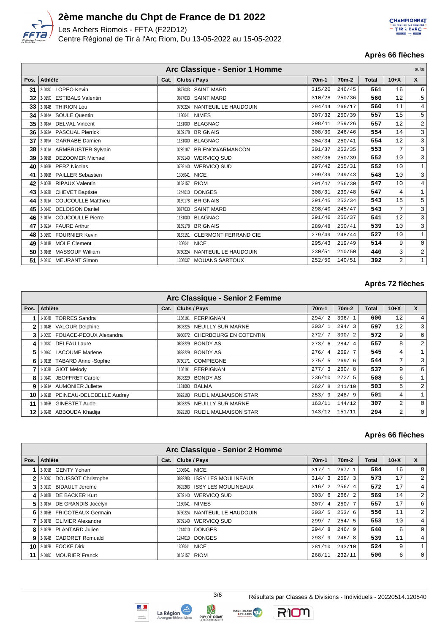

Les Archers Riomois - FFTA (F22D12) Centre Régional de Tir à l'Arc Riom, Du 13-05-2022 au 15-05-2022



## **Après 66 flèches**

| Arc Classique - Senior 1 Homme<br>suite |                           |      |                                        |         |                    |              |        |                |  |
|-----------------------------------------|---------------------------|------|----------------------------------------|---------|--------------------|--------------|--------|----------------|--|
| Pos.                                    | Athlète                   | Cat. | Clubs / Pays                           | $70m-1$ | 70 <sub>m</sub> -2 | <b>Total</b> | $10+X$ | $\mathsf{x}$   |  |
| 31                                      | 2-013C LOPEO Kevin        |      | 0877033 SAINT MARD                     | 315/20  | 246/45             | 561          | 16     | 6              |  |
| 32                                      | 2-015C ESTIBALS Valentin  |      | <b>SAINT MARD</b><br>0877033           | 310/28  | 250/36             | 560          | 12     | 5              |  |
| 33                                      | 2-014B THIRION Lou        |      | 0760224 NANTEUIL LE HAUDOUIN           | 294/44  | 266/17             | 560          | 11     | $\overline{4}$ |  |
| 34                                      | 2-014A SOULE Quentin      |      | 1130041 NIMES                          | 307/32  | 250/39             | 557          | 15     | 5              |  |
| 35                                      | 2-018A DELVAL Vincent     |      | 1131080 BLAGNAC                        | 298/41  | 259/26             | 557          | 12     | $\sqrt{2}$     |  |
| 36                                      | 2-023A PASCUAL Pierrick   |      | 0169178 BRIGNAIS                       | 308/30  | 246/46             | 554          | 14     | 3              |  |
| 37                                      | 2-019A GARRABE Damien     |      | 1131080 BLAGNAC                        | 304/34  | 250/41             | 554          | 12     | $\mathsf 3$    |  |
| 38                                      | 2-001A ARMBRUSTER Sylvain |      | <b>BRIENON/ARMANCON</b><br>0289107     | 301/37  | 252/35             | 553          | 7      | 3              |  |
| 39                                      | 2-019B DEZOOMER Michael   |      | 0759140 WERVICQ SUD                    | 302/36  | 250/39             | 552          | 10     | 3              |  |
| 40                                      | 2-020B PERZ Nicolas       |      | 0759140 WERVICQ SUD                    | 297/42  | 255/31             | 552          | 10     | $\mathbf 1$    |  |
| 41                                      | 2-010B PAILLER Sebastien  |      | 1306041 NICE                           | 299/39  | 249/43             | 548          | 10     | 3              |  |
| 42                                      | 2-006B RIPAUX Valentin    |      | <b>RIOM</b><br>0163157                 | 291/47  | 256/30             | 547          | 10     | $\overline{4}$ |  |
| 43                                      | 2-023B CHEVET Baptiste    |      | 1244010 DONGES                         | 308/31  | 239/48             | 547          | 4      | $\mathbf{1}$   |  |
| 44                                      | 2-021A COUCOULLE Matthieu |      | 0169178 BRIGNAIS                       | 291/45  | 252/34             | 543          | 15     | 5              |  |
| 45                                      | 2-014C DELOISON Daniel    |      | 0877033 SAINT MARD                     | 298/40  | 245/47             | 543          | 7      | 3              |  |
| 46                                      | 2-017A COUCOULLE Pierre   |      | 1131080 BLAGNAC                        | 291/46  | 250/37             | 541          | 12     | 3              |  |
| 47                                      | 2-022A FAURE Arthur       |      | 0169178 BRIGNAIS                       | 289/48  | 250/41             | 539          | 10     | 3              |  |
| 48                                      | 2-019C FOURNIER Kevin     |      | <b>CLERMONT FERRAND CIE</b><br>0163151 | 279/49  | 248/44             | 527          | 10     | $\mathbf{1}$   |  |
| 49                                      | 2-011B MOLE Clement       |      | 1306041 NICE                           | 295/43  | 219/49             | 514          | 9      | $\mathbf 0$    |  |
| 50                                      | 2-016B MASSOUF William    |      | NANTEUIL LE HAUDOUIN<br>0760224        | 230/51  | 210/50             | 440          | 3      | $\sqrt{2}$     |  |
| 51                                      | 2-021C MEURANT Simon      |      | 1306037 MOUANS SARTOUX                 | 252/50  | 140/51             | 392          | 2      | $\mathbf 1$    |  |

## **Après 72 flèches**

|              | Arc Classique - Senior 2 Femme  |      |                               |                    |                    |       |        |                |  |  |  |
|--------------|---------------------------------|------|-------------------------------|--------------------|--------------------|-------|--------|----------------|--|--|--|
| Pos.         | Athlète                         | Cat. | <b>Clubs / Pays</b>           | 70 <sub>m</sub> -1 | 70 <sub>m</sub> -2 | Total | $10+X$ | $\mathbf{x}$   |  |  |  |
|              | 1-004B TORRES Sandra            |      | 1166191 PERPIGNAN             | 294/<br>2          | 306/1              | 600   | 12     | $\overline{4}$ |  |  |  |
| $\mathbf{2}$ | 1-014B VALOUR Delphine          |      | 0893225 NEUILLY SUR MARNE     | 303/1              | 294/3              | 597   | 12     | $\overline{3}$ |  |  |  |
| 3            | 1-005C FOUACE-PEOUX Alexandra   |      | 0950072 CHERBOURG EN COTENTIN | 272/7              | 300/2              | 572   | 9      | 6              |  |  |  |
| 4            | 1-013C DELFAU Laure             |      | <b>BONDY AS</b><br>0893229    | 273/6              | 284/4              | 557   | 8      | 2              |  |  |  |
| 5            | 1-016C LACOUME Marlene          |      | BONDY AS<br>0893229           | 276/4              | 269/7              | 545   | 4      | $\mathbf{1}$   |  |  |  |
| 6            | 1-012B TABARD Anne -Sophie      |      | COMPIEGNE<br>0760171          | 275/5              | 269/6              | 544   | 7      | $\overline{3}$ |  |  |  |
| 7            | 1-003B GIOT Melody              |      | 1166191 PERPIGNAN             | 277/3              | 260/8              | 537   | 9      | 6              |  |  |  |
| 8            | 1-014C JEOFFRET Carole          |      | 0893229 BONDY AS              | 236/10             | 272/5              | 508   | 6      | $\mathbf{1}$   |  |  |  |
| 9            | 1-021A AUMONIER Juliette        |      | 1131093 BALMA                 | 262/8              | 241/10             | 503   | 5      | $\overline{a}$ |  |  |  |
| 10           | 1-021B PEINEAU-DELOBELLE Audrey |      | 0892193 RUEIL MALMAISON STAR  | 253/9              | 248/9              | 501   | 4      |                |  |  |  |
| 11           | 1-016B GINESTET Aude            |      | 0893225 NEUILLY SUR MARNE     | 163/11             | 144/12             | 307   | 2      | $\mathbf{0}$   |  |  |  |
| 12           | 1-024B ABBOUDA Khadija          |      | 0892193 RUEIL MALMAISON STAR  | 143/12             | 151/11             | 294   | 2      | $\Omega$       |  |  |  |

## **Après 66 flèches**

|      | Arc Classique - Senior 2 Homme |      |                              |                    |                    |       |                 |                  |  |  |  |
|------|--------------------------------|------|------------------------------|--------------------|--------------------|-------|-----------------|------------------|--|--|--|
| Pos. | Athlète                        | Cat. | Clubs / Pays                 | 70 <sub>m</sub> -1 | 70 <sub>m</sub> -2 | Total | $10+X$          | $\mathsf{x}$     |  |  |  |
|      | 2-009B GENTY Yohan             |      | 1306041 NICE                 | 317/1              | 267/1              | 584   | 16              | 8                |  |  |  |
| 2    | 2-009C DOUSSOT Christophe      |      | 0892203 ISSY LES MOULINEAUX  | 314/3              | 259/3              | 573   | 17              | $\overline{2}$   |  |  |  |
| 3    | 2-011C BIDAULT Jerome          |      | 0892203 ISSY LES MOULINEAUX  | 316/2              | 256/4              | 572   | 17              | 4 <sup>1</sup>   |  |  |  |
| 4    | 2-018B DE BACKER Kurt          |      | 0759140 WERVICQ SUD          | 303/6              | 266/2              | 569   | 14              | $\overline{2}$   |  |  |  |
|      | 5 2013A DE GRANDIS Jocelyn     |      | 1130041 NIMES                | 307/4              | 250/7              | 557   | 17              | $6 \overline{6}$ |  |  |  |
|      | 6 2015 FRICOTEAUX Germain      |      | 0760224 NANTEUIL LE HAUDOUIN | 303/5              | 253/6              | 556   | 11              | $\overline{2}$   |  |  |  |
|      | 2-017B OLIVIER Alexandre       |      | 0759140 WERVICQ SUD          | 299/7              | 254/5              | 553   | 10 <sup>°</sup> | 4 <sup>1</sup>   |  |  |  |
|      | 8 2-022B PLANTARD Julien       |      | 1244010 DONGES               | 294/8              | 246/9              | 540   | 6               | $\circ$          |  |  |  |
|      | 9 2.024B CADORET Romuald       |      | 1244010 DONGES               | 293/9              | 246/8              | 539   | 11              | 4 <sup>1</sup>   |  |  |  |
|      | <b>10 2-012B FOCKE Dirk</b>    |      | 1306041 NICE                 | 281/10             | 243/10             | 524   | 9               |                  |  |  |  |
| 11   | 2-018C MOURIER Franck          |      | 0163157 RIOM                 | 268/11             | 232/11             | 500   | 6               | $\circ$          |  |  |  |







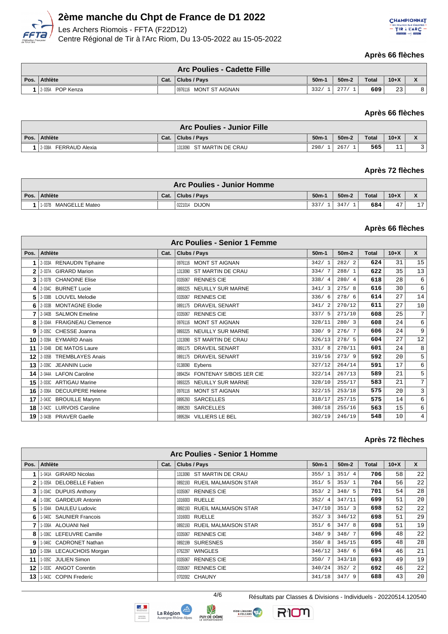

Les Archers Riomois - FFTA (F22D12) Centre Régional de Tir à l'Arc Riom, Du 13-05-2022 au 15-05-2022



#### **Après 66 flèches**

|      | <b>Arc Poulies - Cadette Fille</b> |      |                         |         |                      |              |        |                                       |  |  |
|------|------------------------------------|------|-------------------------|---------|----------------------|--------------|--------|---------------------------------------|--|--|
| Pos. | Athlète                            | Cat. | Clubs / Pays            | $50m-1$ | $50m-2$              | <b>Total</b> | $10+X$ | $\overline{\phantom{a}}$<br>$\lambda$ |  |  |
|      | POP Kenza<br>2-035A                |      | 10976116 MONT ST AIGNAN | 332/    | $\cap$ $\Box$ $\cap$ | 609          | 23     | 8                                     |  |  |

#### **Après 66 flèches**

| <b>Arc Poulies - Junior Fille</b> |      |                           |                   |         |       |          |                                                        |  |  |
|-----------------------------------|------|---------------------------|-------------------|---------|-------|----------|--------------------------------------------------------|--|--|
| Pos. Athlète                      | Cat. | Clubs / Pays              | 50 <sub>m</sub> - | $50m-2$ | Total | $10 + X$ | $\overline{\phantom{a}}$<br>$\boldsymbol{\mathcal{L}}$ |  |  |
| FERRAUD Alexia<br>2-038A          |      | 1313090 ST MARTIN DE CRAU | 298/              | 267/    | 565   |          |                                                        |  |  |

## **Après 72 flèches**

| <b>Arc Poulies - Junior Homme</b> |      |                  |         |         |              |        |                     |  |  |  |  |
|-----------------------------------|------|------------------|---------|---------|--------------|--------|---------------------|--|--|--|--|
| Pos. Athlète                      | Cat. | Clubs / Pays     | $50m-1$ | $50m-2$ | <b>Total</b> | $10+X$ |                     |  |  |  |  |
| MANGELLE Mateo<br>1-037B          |      | DIJON<br>0221014 | 337/    | 347     | 684          | 47     | 1 <sub>7</sub><br>— |  |  |  |  |

## **Après 66 flèches**

|      | Arc Poulies - Senior 1 Femme |      |                                 |         |         |       |        |                 |  |  |  |
|------|------------------------------|------|---------------------------------|---------|---------|-------|--------|-----------------|--|--|--|
| Pos. | Athlète                      | Cat. | Clubs / Pays                    | $50m-1$ | $50m-2$ | Total | $10+X$ | X               |  |  |  |
|      | 2-033A RENAUDIN Tiphaine     |      | 0976116 MONT ST AIGNAN          | 342/1   | 282/2   | 624   | 31     | 15              |  |  |  |
| 2    | 2-037A GIRARD Marion         |      | 1313090 ST MARTIN DE CRAU       | 334/7   | 288/1   | 622   | 35     | 13              |  |  |  |
| 3    | 2-037B CHANOINE Elise        |      | 0335067 RENNES CIE              | 338/4   | 280/4   | 618   | 28     | 6               |  |  |  |
| 4    | 2-034C BURNET Lucie          |      | 0893225 NEUILLY SUR MARNE       | 341/3   | 275/8   | 616   | 30     | 6               |  |  |  |
| 5    | 2-038B LOUVEL Melodie        |      | <b>RENNES CIE</b><br>0335067    | 336/6   | 278/6   | 614   | 27     | 14              |  |  |  |
| 6    | 2-033B MONTAGNE Elodie       |      | 0891175 DRAVEIL SENART          | 341/2   | 270/12  | 611   | 27     | 10              |  |  |  |
|      | 2-040B SALMON Emeline        |      | <b>RENNES CIE</b><br>0335067    | 337/5   | 271/10  | 608   | 25     | $7\overline{ }$ |  |  |  |
| 8    | 2-034A FRAIGNEAU Clemence    |      | 0976116 MONT ST AIGNAN          | 328/11  | 280/3   | 608   | 24     | 6               |  |  |  |
| 9    | 2-035C CHESSE Joanna         |      | 0893225 NEUILLY SUR MARNE       | 330/9   | 276/7   | 606   | 24     | 9               |  |  |  |
| 10   | 2-039A EYMARD Anais          |      | 1313090 ST MARTIN DE CRAU       | 326/13  | 278/5   | 604   | 27     | 12              |  |  |  |
| 11   | 2-034B DE MATOS Laure        |      | 0891175 DRAVEIL SENART          | 331/8   | 270/11  | 601   | 24     | 8               |  |  |  |
| 12   | 2-035B TREMBLAYES Anais      |      | 0891175 DRAVEIL SENART          | 319/16  | 273/9   | 592   | 20     | 5               |  |  |  |
| 13   | 2-039C JEANNIN Lucie         |      | 0138090 Eybens                  | 327/12  | 264/14  | 591   | 17     | 6               |  |  |  |
| 14   | 2-044A LAFON Caroline        |      | 0894254 FONTENAY S/BOIS 1ER CIE | 322/14  | 267/13  | 589   | 21     | 5               |  |  |  |
| 15   | 2-033C ARTIGAU Marine        |      | 0893225 NEUILLY SUR MARNE       | 328/10  | 255/17  | 583   | 21     | $7\overline{ }$ |  |  |  |
| 16   | 2-036A DECUUPERE Helene      |      | 0976116 MONT ST AIGNAN          | 322/15  | 253/18  | 575   | 20     | 3               |  |  |  |
| 17   | 2-043C BROUILLE Marynn       |      | SARCELLES<br>0895293            | 318/17  | 257/15  | 575   | 14     | 6               |  |  |  |
| 18   | 2-042C LURVOIS Caroline      |      | SARCELLES<br>0895293            | 308/18  | 255/16  | 563   | 15     | 6               |  |  |  |
| 19   | 2-043B PRAVER Gaelle         |      | VILLIERS LE BEL<br>0895284      | 302/19  | 246/19  | 548   | 10     | $\overline{4}$  |  |  |  |

#### **Après 72 flèches**

|      | <b>Arc Poulies - Senior 1 Homme</b> |      |                              |         |         |              |        |                 |  |  |  |  |
|------|-------------------------------------|------|------------------------------|---------|---------|--------------|--------|-----------------|--|--|--|--|
| Pos. | <b>Athlète</b>                      | Cat. | Clubs / Pays                 | $50m-1$ | $50m-2$ | <b>Total</b> | $10+X$ | $\mathsf{x}$    |  |  |  |  |
|      | 1-041A GIRARD Nicolas               |      | 1313090 ST MARTIN DE CRAU    | 355/1   | 351/4   | 706          | 58     | 22              |  |  |  |  |
| 2    | 1-035A DELOBELLE Fabien             |      | 0892193 RUEIL MALMAISON STAR | 351/5   | 353/1   | 704          | 56     | 22              |  |  |  |  |
| 3    | 1-034C DUPUIS Anthony               |      | 0335067 RENNES CIE           | 353/2   | 348/5   | 701          | 54     | 28              |  |  |  |  |
| 4    | 1-038C GARDEUR Antonin              |      | 1016003 RUELLE               | 352/4   | 347/11  | 699          | 51     | 20 <sup>1</sup> |  |  |  |  |
| 5    | 1-034A DAULEU Ludovic               |      | 0892193 RUEIL MALMAISON STAR | 347/10  | 351/3   | 698          | 52     | 22              |  |  |  |  |
| 6    | 1-040C SAUNIER Francois             |      | 1016003 RUELLE               | 352/3   | 346/12  | 698          | 51     | 29              |  |  |  |  |
|      | 1-036A ALOUANINeil                  |      | 0892193 RUEIL MALMAISON STAR | 351/6   | 347/8   | 698          | 51     | 19              |  |  |  |  |
| 8    | 1-036C LEFEUVRE Camille             |      | 0335067 RENNES CIE           | 348/9   | 348/7   | 696          | 48     | 22              |  |  |  |  |
| 9    | 1-046C CADRONET Nathan              |      | 0892199 SURESNES             | 350/8   | 345/15  | 695          | 48     | 28              |  |  |  |  |
| 10   | 1-039A LECAUCHOIS Morgan            |      | <b>WINGLES</b><br>0762297    | 346/12  | 348/6   | 694          | 46     | 21              |  |  |  |  |
| 11   | 1-035C JULIEN Simon                 |      | <b>RENNES CIE</b><br>0335067 | 350/7   | 343/18  | 693          | 49     | 19              |  |  |  |  |
| 12   | 1-033C ANGOT Corentin               |      | <b>RENNES CIE</b><br>0335067 | 340/24  | 352/2   | 692          | 46     | 22              |  |  |  |  |
| 13   | 1-043C COPIN Frederic               |      | 0702002 CHAUNY               | 341/18  | 347/9   | 688          | 43     | 20 <sup>1</sup> |  |  |  |  |







RIOM

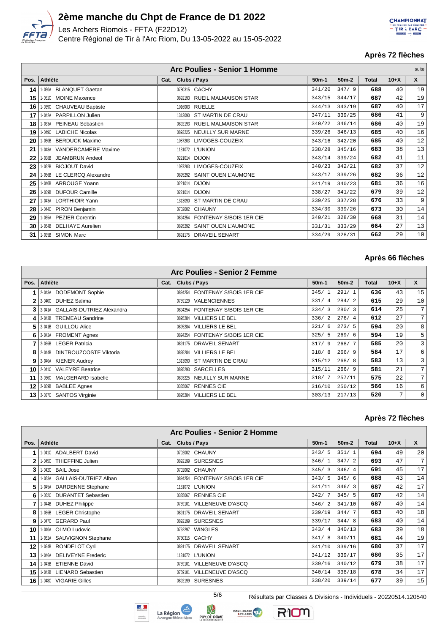

Les Archers Riomois - FFTA (F22D12) Centre Régional de Tir à l'Arc Riom, Du 13-05-2022 au 15-05-2022



## **Après 72 flèches**

|      | <b>Arc Poulies - Senior 1 Homme</b> |      |                                 |         |         |              |        |    |
|------|-------------------------------------|------|---------------------------------|---------|---------|--------------|--------|----|
| Pos. | Athlète                             | Cat. | Clubs / Pays                    | $50m-1$ | $50m-2$ | <b>Total</b> | $10+X$ | X  |
| 14   | 1-050A BLANQUET Gaetan              |      | 0780315 CACHY                   | 341/20  | 347/9   | 688          | 40     | 19 |
| 15   | 1-051C MOINE Maxence                |      | 0892193 RUEIL MALMAISON STAR    | 343/15  | 344/17  | 687          | 42     | 19 |
| 16   | 1-039C CHAUVEAU Baptiste            |      | 1016003 RUELLE                  | 344/13  | 343/19  | 687          | 40     | 17 |
| 17   | 1-042A PARPILLON Julien             |      | 1313090 ST MARTIN DE CRAU       | 347/11  | 339/25  | 686          | 41     | 9  |
| 18   | 1-033A PEINEAU Sebastien            |      | 0892193 RUEIL MALMAISON STAR    | 340/22  | 346/14  | 686          | 40     | 19 |
| 19   | 1-049C LABICHE Nicolas              |      | 0893225 NEUILLY SUR MARNE       | 339/26  | 346/13  | 685          | 40     | 16 |
| 20   | 1-050B<br><b>BERDUCK Maxime</b>     |      | LIMOGES-COUZEIX<br>1087203      | 343/16  | 342/20  | 685          | 40     | 12 |
| 21   | 1-048A VANDERCAMERE Maxime          |      | 1131072 L'UNION                 | 338/28  | 345/16  | 683          | 38     | 13 |
| 22   | <b>JEAMBRUN Andeol</b><br>1-038B    |      | 0221014 DIJON                   | 343/14  | 339/24  | 682          | 41     | 11 |
| 23   | 1-052B BIOJOUT David                |      | 1087203 LIMOGES-COUZEIX         | 340/23  | 342/21  | 682          | 37     | 12 |
| 24   | 1-056B LE CLERCQ Alexandre          |      | 0895292 SAINT OUEN L'AUMONE     | 343/17  | 339/26  | 682          | 36     | 12 |
| 25   | 1-040B ARROUGE Yoann                |      | 0221014 DIJON                   | 341/19  | 340/23  | 681          | 36     | 16 |
| 26   | <b>DUFOUR Camille</b><br>1-039B     |      | 0221014 DIJON                   | 338/27  | 341/22  | 679          | 39     | 12 |
| 27   | 1-043A LORTHIOIR Yann               |      | ST MARTIN DE CRAU<br>1313090    | 339/25  | 337/28  | 676          | 33     | 9  |
| 28   | 1-044C PIRON Benjamin               |      | 0702002 CHAUNY                  | 334/30  | 339/26  | 673          | 30     | 14 |
| 29   | 1-055A PEZIER Corentin              |      | 0894254 FONTENAY S/BOIS 1ER CIE | 340/21  | 328/30  | 668          | 31     | 14 |
| 30   | 1-054B DELHAYE Aurelien             |      | 0895292 SAINT OUEN L'AUMONE     | 331/31  | 333/29  | 664          | 27     | 13 |
| 31   | 1-035B SIMON Marc                   |      | 0891175 DRAVEIL SENART          | 334/29  | 328/31  | 662          | 29     | 10 |

#### **Après 66 flèches**

|      | Arc Poulies - Senior 2 Femme     |      |                                   |         |         |              |        |                  |  |  |  |  |
|------|----------------------------------|------|-----------------------------------|---------|---------|--------------|--------|------------------|--|--|--|--|
| Pos. | Athlète                          | Cat. | Clubs / Pays                      | $50m-1$ | $50m-2$ | <b>Total</b> | $10+X$ | $\mathbf{x}$     |  |  |  |  |
|      | 2-043A DODEMONT Sophie           |      | 0894254 FONTENAY S/BOIS 1ER CIE   | 345/1   | 291/1   | 636          | 43     | 15               |  |  |  |  |
| 2    | 2-040C DUHEZ Salima              |      | 0759129 VALENCIENNES              | 331/4   | 284/2   | 615          | 29     | 10 <sup>1</sup>  |  |  |  |  |
| 3    | 2-041A GALLAIS-DUTRIEZ Alexandra |      | 0894254 FONTENAY S/BOIS 1ER CIE   | 334/3   | 280/3   | 614          | 25     | 7 <sup>1</sup>   |  |  |  |  |
| 4    | 2-042B TREMEAU Sandrine          |      | 0895284 VILLIERS LE BEL           | 336/2   | 276/4   | 612          | 27     | 7 <sup>1</sup>   |  |  |  |  |
| 5    | 2-041B GUILLOU Alice             |      | <b>VILLIERS LE BEL</b><br>0895284 | 321/6   | 273/5   | 594          | 20     | 8                |  |  |  |  |
| 6    | 2-042A FROMENT Agnes             |      | 0894254 FONTENAY S/BOIS 1ER CIE   | 325/5   | 269/6   | 594          | 19     | 5 <sup>1</sup>   |  |  |  |  |
|      | 2-036B LEGER Patricia            |      | 0891175 DRAVEIL SENART            | 317/9   | 268/7   | 585          | 20     | $\overline{3}$   |  |  |  |  |
| 8    | 2-044B DINTROUZCOSTE Viktoria    |      | 0895284 VILLIERS LE BEL           | 318/8   | 266/9   | 584          | 17     | $6 \overline{6}$ |  |  |  |  |
| 9    | 2-040A KIENER Audrey             |      | 1313090 ST MARTIN DE CRAU         | 315/12  | 268/8   | 583          | 13     | $\overline{3}$   |  |  |  |  |
| 10   | 2-041C VALEYRE Beatrice          |      | 0895293 SARCELLES                 | 315/11  | 266/9   | 581          | 21     | 7 <sup>1</sup>   |  |  |  |  |
| 11   | 2-036C MALGERARD Isabelle        |      | 0893225 NEUILLY SUR MARNE         | 318/7   | 257/11  | 575          | 22     | 7 <sup>1</sup>   |  |  |  |  |
| 12   | 2-039B BABLEE Agnes              |      | 0335067 RENNES CIE                | 316/10  | 250/12  | 566          | 16     | $6 \overline{6}$ |  |  |  |  |
| 13   | 2-037C SANTOS Virginie           |      | 0895284 VILLIERS LE BEL           | 303/13  | 217/13  | 520          | 7      | $\circ$          |  |  |  |  |

#### **Après 72 flèches**

|              | Arc Poulies - Senior 2 Homme           |      |                                 |           |         |       |        |              |  |  |  |
|--------------|----------------------------------------|------|---------------------------------|-----------|---------|-------|--------|--------------|--|--|--|
| Pos.         | <b>Athlète</b>                         | Cat. | Clubs / Pays                    | $50m-1$   | $50m-2$ | Total | $10+X$ | $\mathsf{x}$ |  |  |  |
|              | I-041C ADALBERT David                  |      | 0702002 CHAUNY                  | 343/5     | 351/1   | 694   | 49     | 20           |  |  |  |
| $\mathbf{2}$ | 1-045C THIEFFINE Julien                |      | 0892199 SURESNES                | 346/1     | 347/2   | 693   | 47     | 7            |  |  |  |
| 3            | 1-042C<br><b>BAIL Jose</b>             |      | 0702002 CHAUNY                  | 345/3     | 346/4   | 691   | 45     | 17           |  |  |  |
| 4            | <b>GALLAIS-DUTRIEZ Alban</b><br>1-053A |      | 0894254 FONTENAY S/BOIS 1ER CIE | 343/5     | 345/6   | 688   | 43     | 14           |  |  |  |
| 5            | <b>DARDENNE Stephane</b><br>1-045A     |      | 1131072 L'UNION                 | 341/11    | 346/3   | 687   | 42     | 17           |  |  |  |
| 6            | <b>DURANTET Sebastien</b><br>1-052C    |      | <b>RENNES CIE</b><br>0335067    | 342/7     | 345/5   | 687   | 42     | 14           |  |  |  |
| 7            | <b>DUHEZ Philippe</b><br>1-044B        |      | VILLENEUVE D'ASCQ<br>0759101    | 346/2     | 341/10  | 687   | 40     | 14           |  |  |  |
| 8            | - 036B<br><b>LEGER Christophe</b>      |      | 0891175 DRAVEIL SENART          | 339/19    | 344/7   | 683   | 40     | 18           |  |  |  |
| 9            | 1-047C GERARD Paul                     |      | <b>SURESNES</b><br>0892199      | 339/17    | 344/8   | 683   | 40     | 14           |  |  |  |
| 10           | <b>OLMO Ludovic</b><br>1-040A          |      | WINGLES<br>0762297              | 343/4     | 340/13  | 683   | 39     | 18           |  |  |  |
| 11           | <b>SAUVIGNON Stephane</b><br>1-052A    |      | 0780315 CACHY                   | 341/<br>8 | 340/11  | 681   | 44     | 19           |  |  |  |
| 12           | <b>RONDELOT Cyril</b><br>1-034B        |      | 0891175 DRAVEIL SENART          | 341/10    | 339/16  | 680   | 37     | 17           |  |  |  |
| 13           | <b>DELIVEYNE Frederic</b><br>1-046A    |      | 1131072 L'UNION                 | 341/12    | 339/17  | 680   | 35     | 17           |  |  |  |
| 14           | <b>ETIENNE David</b><br>1-043B         |      | 0759101 VILLENEUVE D'ASCQ       | 339/16    | 340/12  | 679   | 38     | 17           |  |  |  |
| 15           | <b>LIENARD Sebastien</b><br>1-042B     |      | 0759101 VILLENEUVE D'ASCQ       | 340/14    | 338/18  | 678   | 34     | 17           |  |  |  |
| 16           | 1-048C VIGARIE Gilles                  |      | <b>SURESNES</b><br>0892199      | 338/20    | 339/14  | 677   | 39     | 15           |  |  |  |







RIOM